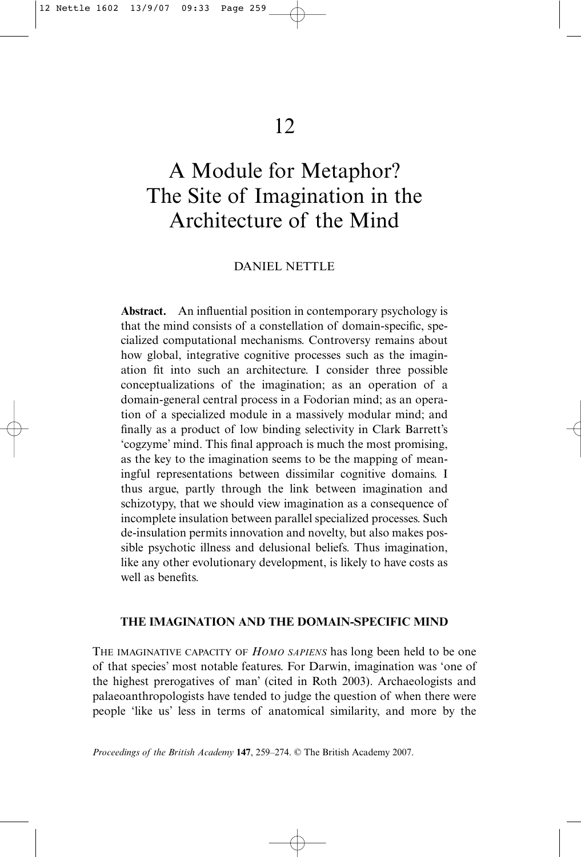12

# A Module for Metaphor? The Site of Imagination in the Architecture of the Mind

## DANIEL NETTLE

**Abstract.** An influential position in contemporary psychology is that the mind consists of a constellation of domain-specific, specialized computational mechanisms. Controversy remains about how global, integrative cognitive processes such as the imagination fit into such an architecture. I consider three possible conceptualizations of the imagination; as an operation of a domain-general central process in a Fodorian mind; as an operation of a specialized module in a massively modular mind; and finally as a product of low binding selectivity in Clark Barrett's 'cogzyme' mind. This final approach is much the most promising, as the key to the imagination seems to be the mapping of meaningful representations between dissimilar cognitive domains. I thus argue, partly through the link between imagination and schizotypy, that we should view imagination as a consequence of incomplete insulation between parallel specialized processes. Such de-insulation permits innovation and novelty, but also makes possible psychotic illness and delusional beliefs. Thus imagination, like any other evolutionary development, is likely to have costs as well as benefits.

## **THE IMAGINATION AND THE DOMAIN-SPECIFIC MIND**

THE IMAGINATIVE CAPACITY OF *HOMO SAPIENS* has long been held to be one of that species' most notable features. For Darwin, imagination was 'one of the highest prerogatives of man' (cited in Roth 2003). Archaeologists and palaeoanthropologists have tended to judge the question of when there were people 'like us' less in terms of anatomical similarity, and more by the

*Proceedings of the British Academy* **147**, 259–274. © The British Academy 2007.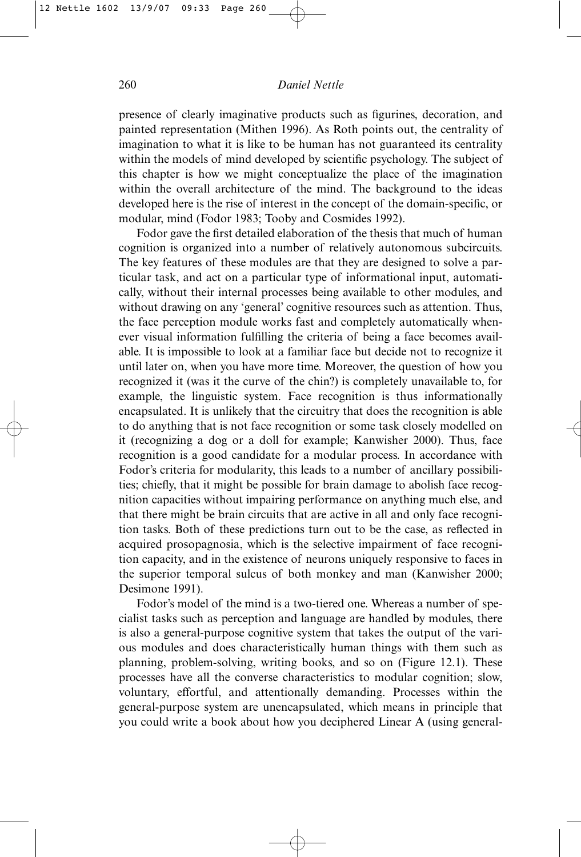presence of clearly imaginative products such as figurines, decoration, and painted representation (Mithen 1996). As Roth points out, the centrality of imagination to what it is like to be human has not guaranteed its centrality within the models of mind developed by scientific psychology. The subject of this chapter is how we might conceptualize the place of the imagination within the overall architecture of the mind. The background to the ideas developed here is the rise of interest in the concept of the domain-specific, or modular, mind (Fodor 1983; Tooby and Cosmides 1992).

Fodor gave the first detailed elaboration of the thesis that much of human cognition is organized into a number of relatively autonomous subcircuits. The key features of these modules are that they are designed to solve a particular task, and act on a particular type of informational input, automatically, without their internal processes being available to other modules, and without drawing on any 'general' cognitive resources such as attention. Thus, the face perception module works fast and completely automatically whenever visual information fulfilling the criteria of being a face becomes available. It is impossible to look at a familiar face but decide not to recognize it until later on, when you have more time. Moreover, the question of how you recognized it (was it the curve of the chin?) is completely unavailable to, for example, the linguistic system. Face recognition is thus informationally encapsulated. It is unlikely that the circuitry that does the recognition is able to do anything that is not face recognition or some task closely modelled on it (recognizing a dog or a doll for example; Kanwisher 2000). Thus, face recognition is a good candidate for a modular process. In accordance with Fodor's criteria for modularity, this leads to a number of ancillary possibilities; chiefly, that it might be possible for brain damage to abolish face recognition capacities without impairing performance on anything much else, and that there might be brain circuits that are active in all and only face recognition tasks. Both of these predictions turn out to be the case, as reflected in acquired prosopagnosia, which is the selective impairment of face recognition capacity, and in the existence of neurons uniquely responsive to faces in the superior temporal sulcus of both monkey and man (Kanwisher 2000; Desimone 1991).

Fodor's model of the mind is a two-tiered one. Whereas a number of specialist tasks such as perception and language are handled by modules, there is also a general-purpose cognitive system that takes the output of the various modules and does characteristically human things with them such as planning, problem-solving, writing books, and so on (Figure 12.1). These processes have all the converse characteristics to modular cognition; slow, voluntary, effortful, and attentionally demanding. Processes within the general-purpose system are unencapsulated, which means in principle that you could write a book about how you deciphered Linear A (using general-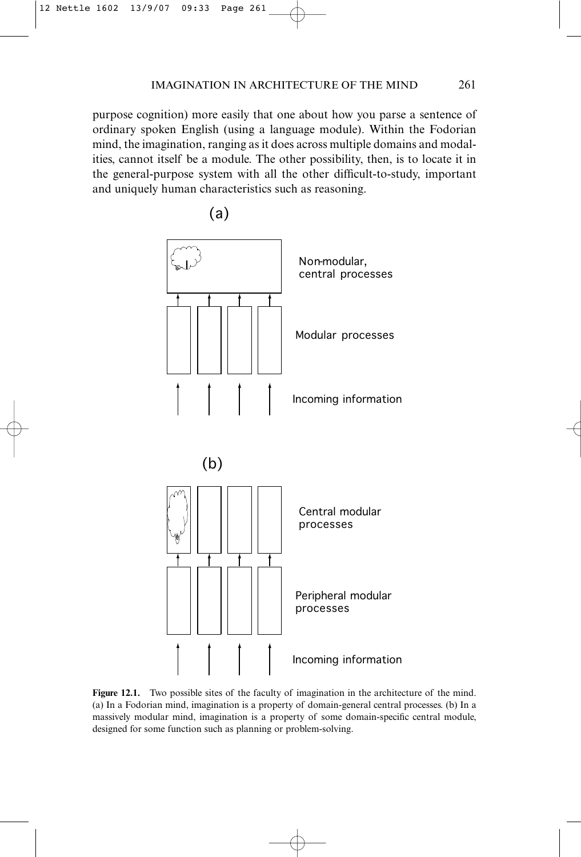purpose cognition) more easily that one about how you parse a sentence of ordinary spoken English (using a language module). Within the Fodorian mind, the imagination, ranging as it does across multiple domains and modalities, cannot itself be a module. The other possibility, then, is to locate it in the general-purpose system with all the other difficult-to-study, important and uniquely human characteristics such as reasoning.



Figure 12.1. Two possible sites of the faculty of imagination in the architecture of the mind. (a) In a Fodorian mind, imagination is a property of domain-general central processes. (b) In a massively modular mind, imagination is a property of some domain-specific central module, designed for some function such as planning or problem-solving.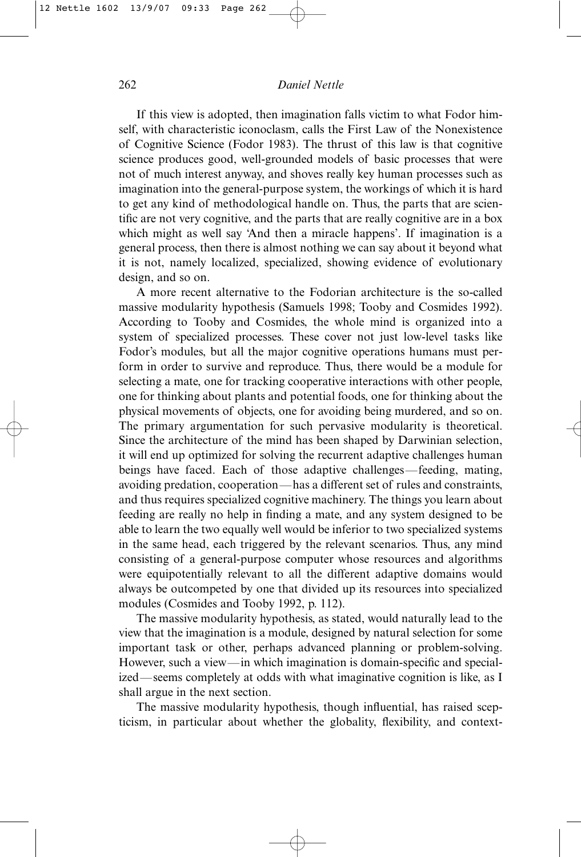If this view is adopted, then imagination falls victim to what Fodor himself, with characteristic iconoclasm, calls the First Law of the Nonexistence of Cognitive Science (Fodor 1983). The thrust of this law is that cognitive science produces good, well-grounded models of basic processes that were not of much interest anyway, and shoves really key human processes such as imagination into the general-purpose system, the workings of which it is hard to get any kind of methodological handle on. Thus, the parts that are scientific are not very cognitive, and the parts that are really cognitive are in a box which might as well say 'And then a miracle happens'. If imagination is a general process, then there is almost nothing we can say about it beyond what it is not, namely localized, specialized, showing evidence of evolutionary design, and so on.

A more recent alternative to the Fodorian architecture is the so-called massive modularity hypothesis (Samuels 1998; Tooby and Cosmides 1992). According to Tooby and Cosmides, the whole mind is organized into a system of specialized processes. These cover not just low-level tasks like Fodor's modules, but all the major cognitive operations humans must perform in order to survive and reproduce. Thus, there would be a module for selecting a mate, one for tracking cooperative interactions with other people, one for thinking about plants and potential foods, one for thinking about the physical movements of objects, one for avoiding being murdered, and so on. The primary argumentation for such pervasive modularity is theoretical. Since the architecture of the mind has been shaped by Darwinian selection, it will end up optimized for solving the recurrent adaptive challenges human beings have faced. Each of those adaptive challenges—feeding, mating, avoiding predation, cooperation—has a different set of rules and constraints, and thus requires specialized cognitive machinery. The things you learn about feeding are really no help in finding a mate, and any system designed to be able to learn the two equally well would be inferior to two specialized systems in the same head, each triggered by the relevant scenarios. Thus, any mind consisting of a general-purpose computer whose resources and algorithms were equipotentially relevant to all the different adaptive domains would always be outcompeted by one that divided up its resources into specialized modules (Cosmides and Tooby 1992, p. 112).

The massive modularity hypothesis, as stated, would naturally lead to the view that the imagination is a module, designed by natural selection for some important task or other, perhaps advanced planning or problem-solving. However, such a view—in which imagination is domain-specific and specialized—seems completely at odds with what imaginative cognition is like, as I shall argue in the next section.

The massive modularity hypothesis, though influential, has raised scepticism, in particular about whether the globality, flexibility, and context-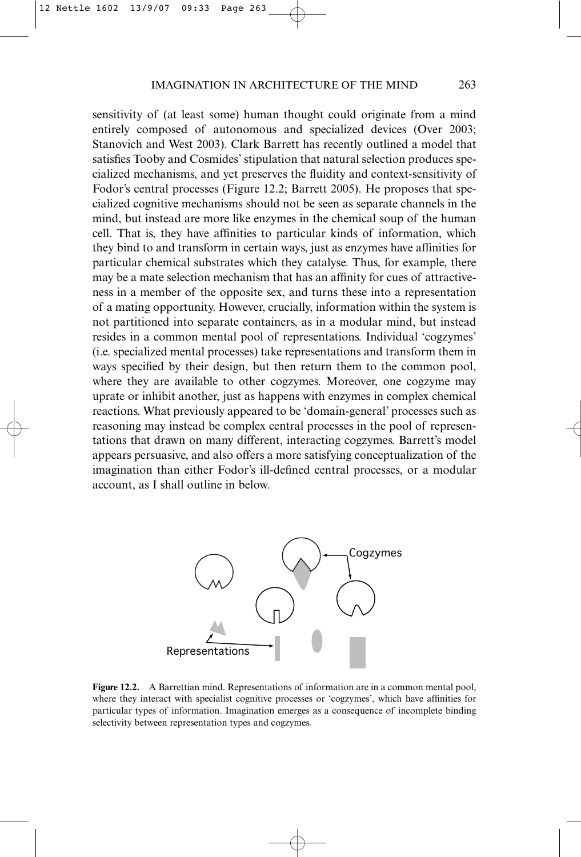sensitivity of (at least some) human thought could originate from a mind entirely composed of autonomous and specialized devices (Over 2003; Stanovich and West 2003). Clark Barrett has recently outlined a model that satisfies Tooby and Cosmides' stipulation that natural selection produces specialized mechanisms, and yet preserves the fluidity and context-sensitivity of Fodor's central processes (Figure 12.2; Barrett 2005). He proposes that specialized cognitive mechanisms should not be seen as separate channels in the mind, but instead are more like enzymes in the chemical soup of the human cell. That is, they have affinities to particular kinds of information, which they bind to and transform in certain ways, just as enzymes have affinities for particular chemical substrates which they catalyse. Thus, for example, there may be a mate selection mechanism that has an affinity for cues of attractiveness in a member of the opposite sex, and turns these into a representation of a mating opportunity. However, crucially, information within the system is not partitioned into separate containers, as in a modular mind, but instead resides in a common mental pool of representations. Individual 'cogzymes' (i.e. specialized mental processes) take representations and transform them in ways specified by their design, but then return them to the common pool, where they are available to other cogzymes. Moreover, one cogzyme may uprate or inhibit another, just as happens with enzymes in complex chemical reactions. What previously appeared to be 'domain-general' processes such as reasoning may instead be complex central processes in the pool of representations that drawn on many different, interacting cogzymes. Barrett's model appears persuasive, and also offers a more satisfying conceptualization of the imagination than either Fodor's ill-defined central processes, or a modular account, as I shall outline in below.



**Figure 12.2.** A Barrettian mind. Representations of information are in a common mental pool, where they interact with specialist cognitive processes or 'cogzymes', which have affinities for particular types of information. Imagination emerges as a consequence of incomplete binding selectivity between representation types and cogzymes.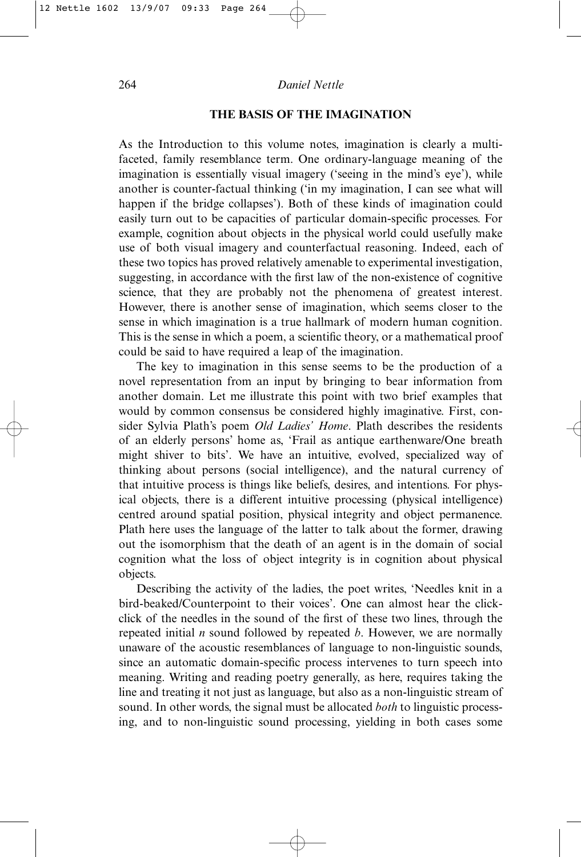# **THE BASIS OF THE IMAGINATION**

As the Introduction to this volume notes, imagination is clearly a multifaceted, family resemblance term. One ordinary-language meaning of the imagination is essentially visual imagery ('seeing in the mind's eye'), while another is counter-factual thinking ('in my imagination, I can see what will happen if the bridge collapses'). Both of these kinds of imagination could easily turn out to be capacities of particular domain-specific processes. For example, cognition about objects in the physical world could usefully make use of both visual imagery and counterfactual reasoning. Indeed, each of these two topics has proved relatively amenable to experimental investigation, suggesting, in accordance with the first law of the non-existence of cognitive science, that they are probably not the phenomena of greatest interest. However, there is another sense of imagination, which seems closer to the sense in which imagination is a true hallmark of modern human cognition. This is the sense in which a poem, a scientific theory, or a mathematical proof could be said to have required a leap of the imagination.

The key to imagination in this sense seems to be the production of a novel representation from an input by bringing to bear information from another domain. Let me illustrate this point with two brief examples that would by common consensus be considered highly imaginative. First, consider Sylvia Plath's poem *Old Ladies' Home*. Plath describes the residents of an elderly persons' home as, 'Frail as antique earthenware/One breath might shiver to bits'. We have an intuitive, evolved, specialized way of thinking about persons (social intelligence), and the natural currency of that intuitive process is things like beliefs, desires, and intentions. For physical objects, there is a different intuitive processing (physical intelligence) centred around spatial position, physical integrity and object permanence. Plath here uses the language of the latter to talk about the former, drawing out the isomorphism that the death of an agent is in the domain of social cognition what the loss of object integrity is in cognition about physical objects.

Describing the activity of the ladies, the poet writes, 'Needles knit in a bird-beaked/Counterpoint to their voices'. One can almost hear the clickclick of the needles in the sound of the first of these two lines, through the repeated initial *n* sound followed by repeated *b*. However, we are normally unaware of the acoustic resemblances of language to non-linguistic sounds, since an automatic domain-specific process intervenes to turn speech into meaning. Writing and reading poetry generally, as here, requires taking the line and treating it not just as language, but also as a non-linguistic stream of sound. In other words, the signal must be allocated *both* to linguistic processing, and to non-linguistic sound processing, yielding in both cases some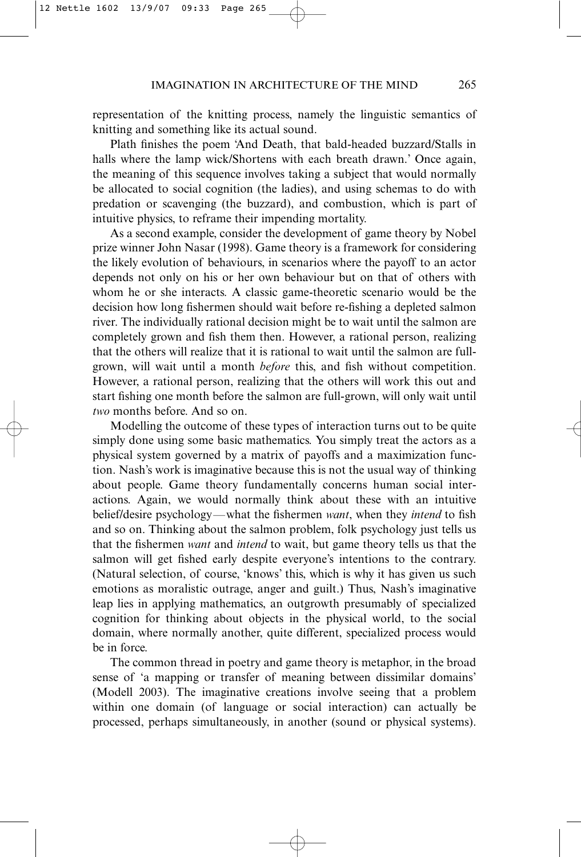representation of the knitting process, namely the linguistic semantics of knitting and something like its actual sound.

Plath finishes the poem 'And Death, that bald-headed buzzard/Stalls in halls where the lamp wick/Shortens with each breath drawn.' Once again, the meaning of this sequence involves taking a subject that would normally be allocated to social cognition (the ladies), and using schemas to do with predation or scavenging (the buzzard), and combustion, which is part of intuitive physics, to reframe their impending mortality.

As a second example, consider the development of game theory by Nobel prize winner John Nasar (1998). Game theory is a framework for considering the likely evolution of behaviours, in scenarios where the payoff to an actor depends not only on his or her own behaviour but on that of others with whom he or she interacts. A classic game-theoretic scenario would be the decision how long fishermen should wait before re-fishing a depleted salmon river. The individually rational decision might be to wait until the salmon are completely grown and fish them then. However, a rational person, realizing that the others will realize that it is rational to wait until the salmon are fullgrown, will wait until a month *before* this, and fish without competition. However, a rational person, realizing that the others will work this out and start fishing one month before the salmon are full-grown, will only wait until *two* months before. And so on.

Modelling the outcome of these types of interaction turns out to be quite simply done using some basic mathematics. You simply treat the actors as a physical system governed by a matrix of payoffs and a maximization function. Nash's work is imaginative because this is not the usual way of thinking about people. Game theory fundamentally concerns human social interactions. Again, we would normally think about these with an intuitive belief/desire psychology—what the fishermen *want*, when they *intend* to fish and so on. Thinking about the salmon problem, folk psychology just tells us that the fishermen *want* and *intend* to wait, but game theory tells us that the salmon will get fished early despite everyone's intentions to the contrary. (Natural selection, of course, 'knows' this, which is why it has given us such emotions as moralistic outrage, anger and guilt.) Thus, Nash's imaginative leap lies in applying mathematics, an outgrowth presumably of specialized cognition for thinking about objects in the physical world, to the social domain, where normally another, quite different, specialized process would be in force.

The common thread in poetry and game theory is metaphor, in the broad sense of 'a mapping or transfer of meaning between dissimilar domains' (Modell 2003). The imaginative creations involve seeing that a problem within one domain (of language or social interaction) can actually be processed, perhaps simultaneously, in another (sound or physical systems).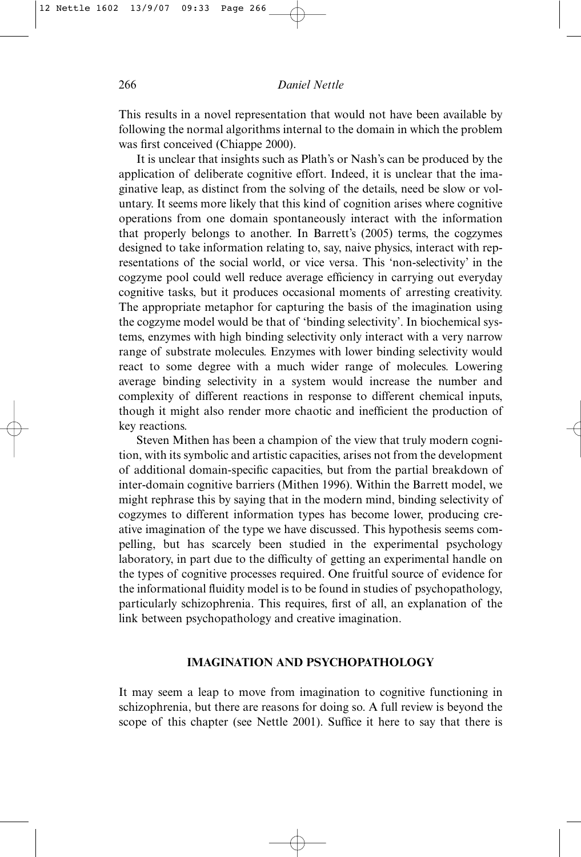This results in a novel representation that would not have been available by following the normal algorithms internal to the domain in which the problem was first conceived (Chiappe 2000).

It is unclear that insights such as Plath's or Nash's can be produced by the application of deliberate cognitive effort. Indeed, it is unclear that the imaginative leap, as distinct from the solving of the details, need be slow or voluntary. It seems more likely that this kind of cognition arises where cognitive operations from one domain spontaneously interact with the information that properly belongs to another. In Barrett's (2005) terms, the cogzymes designed to take information relating to, say, naive physics, interact with representations of the social world, or vice versa. This 'non-selectivity' in the cogzyme pool could well reduce average efficiency in carrying out everyday cognitive tasks, but it produces occasional moments of arresting creativity. The appropriate metaphor for capturing the basis of the imagination using the cogzyme model would be that of 'binding selectivity'. In biochemical systems, enzymes with high binding selectivity only interact with a very narrow range of substrate molecules. Enzymes with lower binding selectivity would react to some degree with a much wider range of molecules. Lowering average binding selectivity in a system would increase the number and complexity of different reactions in response to different chemical inputs, though it might also render more chaotic and inefficient the production of key reactions.

Steven Mithen has been a champion of the view that truly modern cognition, with its symbolic and artistic capacities, arises not from the development of additional domain-specific capacities, but from the partial breakdown of inter-domain cognitive barriers (Mithen 1996). Within the Barrett model, we might rephrase this by saying that in the modern mind, binding selectivity of cogzymes to different information types has become lower, producing creative imagination of the type we have discussed. This hypothesis seems compelling, but has scarcely been studied in the experimental psychology laboratory, in part due to the difficulty of getting an experimental handle on the types of cognitive processes required. One fruitful source of evidence for the informational fluidity model is to be found in studies of psychopathology, particularly schizophrenia. This requires, first of all, an explanation of the link between psychopathology and creative imagination.

#### **IMAGINATION AND PSYCHOPATHOLOGY**

It may seem a leap to move from imagination to cognitive functioning in schizophrenia, but there are reasons for doing so. A full review is beyond the scope of this chapter (see Nettle 2001). Suffice it here to say that there is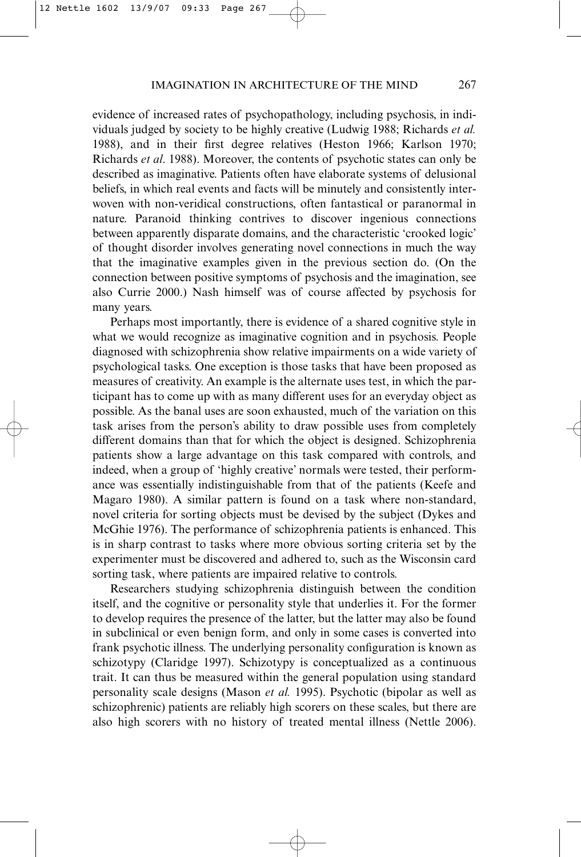evidence of increased rates of psychopathology, including psychosis, in individuals judged by society to be highly creative (Ludwig 1988; Richards *et al.* 1988), and in their first degree relatives (Heston 1966; Karlson 1970; Richards *et al*. 1988). Moreover, the contents of psychotic states can only be described as imaginative. Patients often have elaborate systems of delusional beliefs, in which real events and facts will be minutely and consistently interwoven with non-veridical constructions, often fantastical or paranormal in nature. Paranoid thinking contrives to discover ingenious connections between apparently disparate domains, and the characteristic 'crooked logic' of thought disorder involves generating novel connections in much the way that the imaginative examples given in the previous section do. (On the connection between positive symptoms of psychosis and the imagination, see also Currie 2000.) Nash himself was of course affected by psychosis for many years.

Perhaps most importantly, there is evidence of a shared cognitive style in what we would recognize as imaginative cognition and in psychosis. People diagnosed with schizophrenia show relative impairments on a wide variety of psychological tasks. One exception is those tasks that have been proposed as measures of creativity. An example is the alternate uses test, in which the participant has to come up with as many different uses for an everyday object as possible. As the banal uses are soon exhausted, much of the variation on this task arises from the person's ability to draw possible uses from completely different domains than that for which the object is designed. Schizophrenia patients show a large advantage on this task compared with controls, and indeed, when a group of 'highly creative' normals were tested, their performance was essentially indistinguishable from that of the patients (Keefe and Magaro 1980). A similar pattern is found on a task where non-standard, novel criteria for sorting objects must be devised by the subject (Dykes and McGhie 1976). The performance of schizophrenia patients is enhanced. This is in sharp contrast to tasks where more obvious sorting criteria set by the experimenter must be discovered and adhered to, such as the Wisconsin card sorting task, where patients are impaired relative to controls.

Researchers studying schizophrenia distinguish between the condition itself, and the cognitive or personality style that underlies it. For the former to develop requires the presence of the latter, but the latter may also be found in subclinical or even benign form, and only in some cases is converted into frank psychotic illness. The underlying personality configuration is known as schizotypy (Claridge 1997). Schizotypy is conceptualized as a continuous trait. It can thus be measured within the general population using standard personality scale designs (Mason *et al.* 1995). Psychotic (bipolar as well as schizophrenic) patients are reliably high scorers on these scales, but there are also high scorers with no history of treated mental illness (Nettle 2006).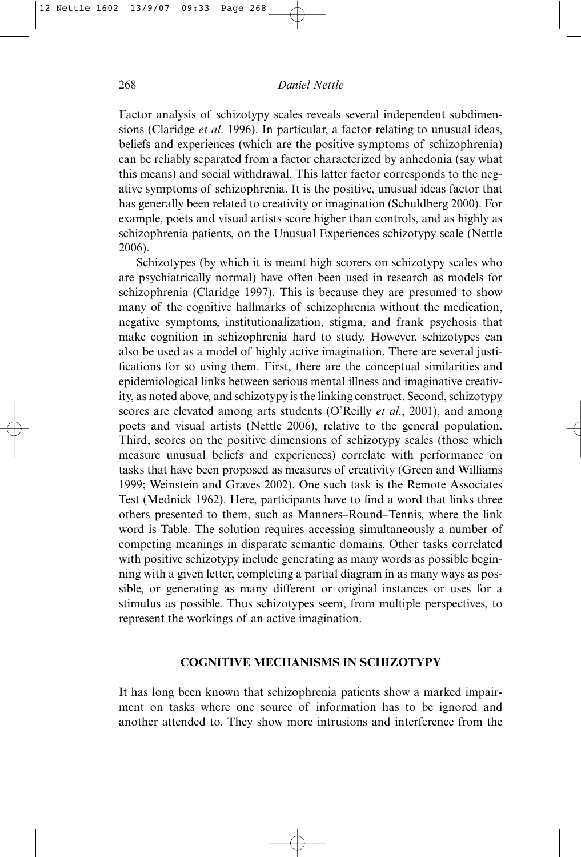Factor analysis of schizotypy scales reveals several independent subdimensions (Claridge *et al*. 1996). In particular, a factor relating to unusual ideas, beliefs and experiences (which are the positive symptoms of schizophrenia) can be reliably separated from a factor characterized by anhedonia (say what this means) and social withdrawal. This latter factor corresponds to the negative symptoms of schizophrenia. It is the positive, unusual ideas factor that has generally been related to creativity or imagination (Schuldberg 2000). For example, poets and visual artists score higher than controls, and as highly as schizophrenia patients, on the Unusual Experiences schizotypy scale (Nettle 2006).

Schizotypes (by which it is meant high scorers on schizotypy scales who are psychiatrically normal) have often been used in research as models for schizophrenia (Claridge 1997). This is because they are presumed to show many of the cognitive hallmarks of schizophrenia without the medication, negative symptoms, institutionalization, stigma, and frank psychosis that make cognition in schizophrenia hard to study. However, schizotypes can also be used as a model of highly active imagination. There are several justifications for so using them. First, there are the conceptual similarities and epidemiological links between serious mental illness and imaginative creativity, as noted above, and schizotypy is the linking construct. Second, schizotypy scores are elevated among arts students (O'Reilly *et al.*, 2001), and among poets and visual artists (Nettle 2006), relative to the general population. Third, scores on the positive dimensions of schizotypy scales (those which measure unusual beliefs and experiences) correlate with performance on tasks that have been proposed as measures of creativity (Green and Williams 1999; Weinstein and Graves 2002). One such task is the Remote Associates Test (Mednick 1962). Here, participants have to find a word that links three others presented to them, such as Manners–Round–Tennis, where the link word is Table. The solution requires accessing simultaneously a number of competing meanings in disparate semantic domains. Other tasks correlated with positive schizotypy include generating as many words as possible beginning with a given letter, completing a partial diagram in as many ways as possible, or generating as many different or original instances or uses for a stimulus as possible. Thus schizotypes seem, from multiple perspectives, to represent the workings of an active imagination.

#### **COGNITIVE MECHANISMS IN SCHIZOTYPY**

It has long been known that schizophrenia patients show a marked impairment on tasks where one source of information has to be ignored and another attended to. They show more intrusions and interference from the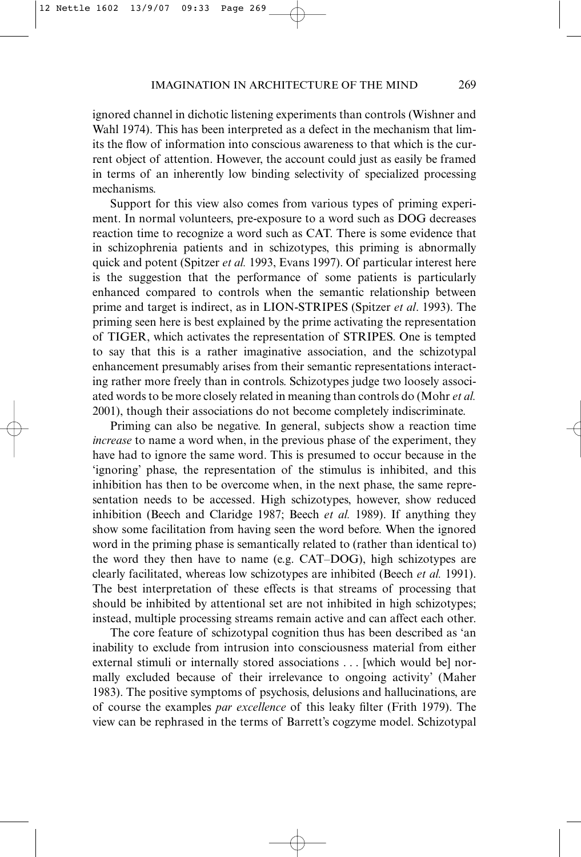ignored channel in dichotic listening experiments than controls (Wishner and Wahl 1974). This has been interpreted as a defect in the mechanism that limits the flow of information into conscious awareness to that which is the current object of attention. However, the account could just as easily be framed in terms of an inherently low binding selectivity of specialized processing mechanisms.

Support for this view also comes from various types of priming experiment. In normal volunteers, pre-exposure to a word such as DOG decreases reaction time to recognize a word such as CAT. There is some evidence that in schizophrenia patients and in schizotypes, this priming is abnormally quick and potent (Spitzer *et al.* 1993, Evans 1997). Of particular interest here is the suggestion that the performance of some patients is particularly enhanced compared to controls when the semantic relationship between prime and target is indirect, as in LION-STRIPES (Spitzer *et al*. 1993). The priming seen here is best explained by the prime activating the representation of TIGER, which activates the representation of STRIPES. One is tempted to say that this is a rather imaginative association, and the schizotypal enhancement presumably arises from their semantic representations interacting rather more freely than in controls. Schizotypes judge two loosely associated words to be more closely related in meaning than controls do (Mohr *et al.* 2001), though their associations do not become completely indiscriminate.

Priming can also be negative. In general, subjects show a reaction time *increase* to name a word when, in the previous phase of the experiment, they have had to ignore the same word. This is presumed to occur because in the 'ignoring' phase, the representation of the stimulus is inhibited, and this inhibition has then to be overcome when, in the next phase, the same representation needs to be accessed. High schizotypes, however, show reduced inhibition (Beech and Claridge 1987; Beech *et al.* 1989). If anything they show some facilitation from having seen the word before. When the ignored word in the priming phase is semantically related to (rather than identical to) the word they then have to name (e.g. CAT–DOG), high schizotypes are clearly facilitated, whereas low schizotypes are inhibited (Beech *et al.* 1991). The best interpretation of these effects is that streams of processing that should be inhibited by attentional set are not inhibited in high schizotypes; instead, multiple processing streams remain active and can affect each other.

The core feature of schizotypal cognition thus has been described as 'an inability to exclude from intrusion into consciousness material from either external stimuli or internally stored associations . . . [which would be] normally excluded because of their irrelevance to ongoing activity' (Maher 1983). The positive symptoms of psychosis, delusions and hallucinations, are of course the examples *par excellence* of this leaky filter (Frith 1979). The view can be rephrased in the terms of Barrett's cogzyme model. Schizotypal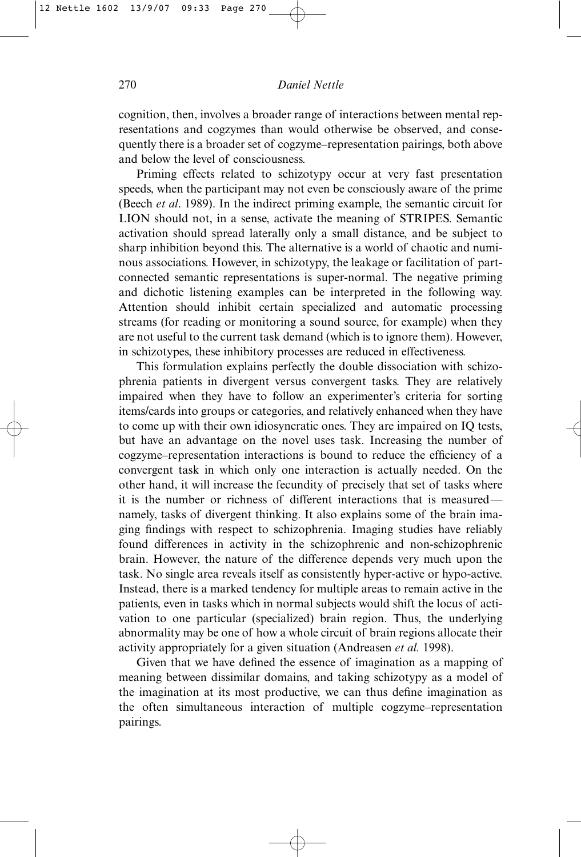cognition, then, involves a broader range of interactions between mental representations and cogzymes than would otherwise be observed, and consequently there is a broader set of cogzyme–representation pairings, both above and below the level of consciousness.

Priming effects related to schizotypy occur at very fast presentation speeds, when the participant may not even be consciously aware of the prime (Beech *et al*. 1989). In the indirect priming example, the semantic circuit for LION should not, in a sense, activate the meaning of STRIPES. Semantic activation should spread laterally only a small distance, and be subject to sharp inhibition beyond this. The alternative is a world of chaotic and numinous associations. However, in schizotypy, the leakage or facilitation of partconnected semantic representations is super-normal. The negative priming and dichotic listening examples can be interpreted in the following way. Attention should inhibit certain specialized and automatic processing streams (for reading or monitoring a sound source, for example) when they are not useful to the current task demand (which is to ignore them). However, in schizotypes, these inhibitory processes are reduced in effectiveness.

This formulation explains perfectly the double dissociation with schizophrenia patients in divergent versus convergent tasks. They are relatively impaired when they have to follow an experimenter's criteria for sorting items/cards into groups or categories, and relatively enhanced when they have to come up with their own idiosyncratic ones. They are impaired on IQ tests, but have an advantage on the novel uses task. Increasing the number of cogzyme–representation interactions is bound to reduce the efficiency of a convergent task in which only one interaction is actually needed. On the other hand, it will increase the fecundity of precisely that set of tasks where it is the number or richness of different interactions that is measured namely, tasks of divergent thinking. It also explains some of the brain imaging findings with respect to schizophrenia. Imaging studies have reliably found differences in activity in the schizophrenic and non-schizophrenic brain. However, the nature of the difference depends very much upon the task. No single area reveals itself as consistently hyper-active or hypo-active. Instead, there is a marked tendency for multiple areas to remain active in the patients, even in tasks which in normal subjects would shift the locus of activation to one particular (specialized) brain region. Thus, the underlying abnormality may be one of how a whole circuit of brain regions allocate their activity appropriately for a given situation (Andreasen *et al.* 1998).

Given that we have defined the essence of imagination as a mapping of meaning between dissimilar domains, and taking schizotypy as a model of the imagination at its most productive, we can thus define imagination as the often simultaneous interaction of multiple cogzyme–representation pairings.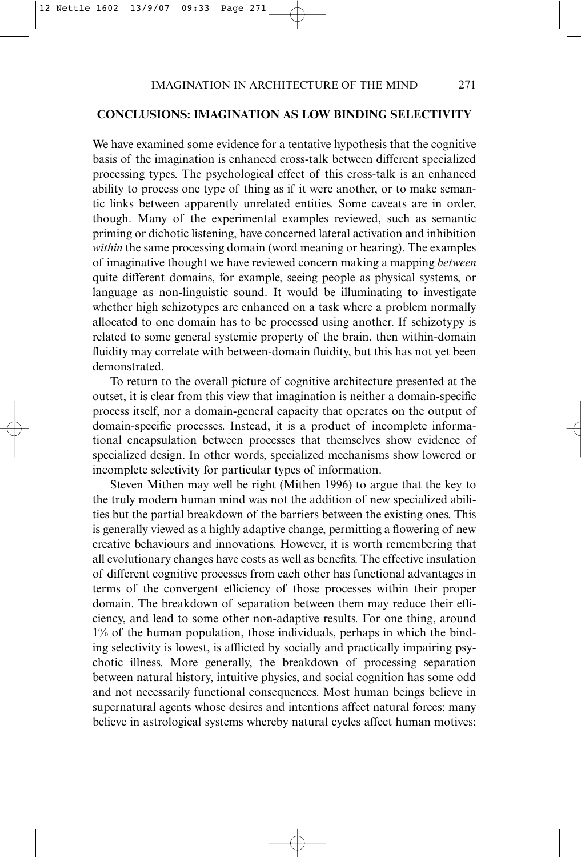## **CONCLUSIONS: IMAGINATION AS LOW BINDING SELECTIVITY**

We have examined some evidence for a tentative hypothesis that the cognitive basis of the imagination is enhanced cross-talk between different specialized processing types. The psychological effect of this cross-talk is an enhanced ability to process one type of thing as if it were another, or to make semantic links between apparently unrelated entities. Some caveats are in order, though. Many of the experimental examples reviewed, such as semantic priming or dichotic listening, have concerned lateral activation and inhibition *within* the same processing domain (word meaning or hearing). The examples of imaginative thought we have reviewed concern making a mapping *between* quite different domains, for example, seeing people as physical systems, or language as non-linguistic sound. It would be illuminating to investigate whether high schizotypes are enhanced on a task where a problem normally allocated to one domain has to be processed using another. If schizotypy is related to some general systemic property of the brain, then within-domain fluidity may correlate with between-domain fluidity, but this has not yet been demonstrated.

To return to the overall picture of cognitive architecture presented at the outset, it is clear from this view that imagination is neither a domain-specific process itself, nor a domain-general capacity that operates on the output of domain-specific processes. Instead, it is a product of incomplete informational encapsulation between processes that themselves show evidence of specialized design. In other words, specialized mechanisms show lowered or incomplete selectivity for particular types of information.

Steven Mithen may well be right (Mithen 1996) to argue that the key to the truly modern human mind was not the addition of new specialized abilities but the partial breakdown of the barriers between the existing ones. This is generally viewed as a highly adaptive change, permitting a flowering of new creative behaviours and innovations. However, it is worth remembering that all evolutionary changes have costs as well as benefits. The effective insulation of different cognitive processes from each other has functional advantages in terms of the convergent efficiency of those processes within their proper domain. The breakdown of separation between them may reduce their efficiency, and lead to some other non-adaptive results. For one thing, around 1% of the human population, those individuals, perhaps in which the binding selectivity is lowest, is afflicted by socially and practically impairing psychotic illness. More generally, the breakdown of processing separation between natural history, intuitive physics, and social cognition has some odd and not necessarily functional consequences. Most human beings believe in supernatural agents whose desires and intentions affect natural forces; many believe in astrological systems whereby natural cycles affect human motives;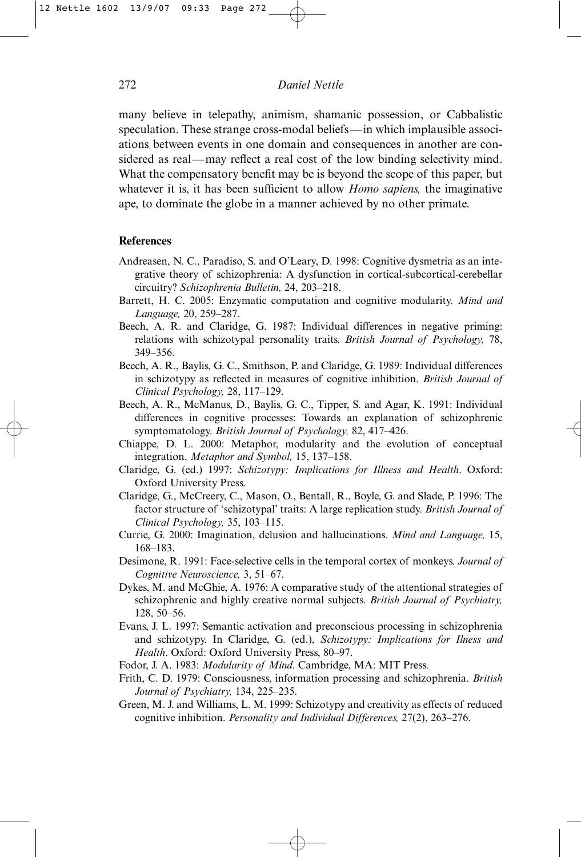many believe in telepathy, animism, shamanic possession, or Cabbalistic speculation. These strange cross-modal beliefs—in which implausible associations between events in one domain and consequences in another are considered as real—may reflect a real cost of the low binding selectivity mind. What the compensatory benefit may be is beyond the scope of this paper, but whatever it is, it has been sufficient to allow *Homo sapiens,* the imaginative ape, to dominate the globe in a manner achieved by no other primate.

#### **References**

- Andreasen, N. C., Paradiso, S. and O'Leary, D. 1998: Cognitive dysmetria as an integrative theory of schizophrenia: A dysfunction in cortical-subcortical-cerebellar circuitry? *Schizophrenia Bulletin,* 24, 203–218.
- Barrett, H. C. 2005: Enzymatic computation and cognitive modularity. *Mind and Language,* 20, 259–287.
- Beech, A. R. and Claridge, G. 1987: Individual differences in negative priming: relations with schizotypal personality traits. *British Journal of Psychology,* 78, 349–356.
- Beech, A. R., Baylis, G. C., Smithson, P. and Claridge, G. 1989: Individual differences in schizotypy as reflected in measures of cognitive inhibition. *British Journal of Clinical Psychology,* 28, 117–129.
- Beech, A. R., McManus, D., Baylis, G. C., Tipper, S. and Agar, K. 1991: Individual differences in cognitive processes: Towards an explanation of schizophrenic symptomatology. *British Journal of Psychology,* 82, 417–426.
- Chiappe, D. L. 2000: Metaphor, modularity and the evolution of conceptual integration. *Metaphor and Symbol,* 15, 137–158.
- Claridge, G. (ed.) 1997: *Schizotypy: Implications for Illness and Health*. Oxford: Oxford University Press.
- Claridge, G., McCreery, C., Mason, O., Bentall, R., Boyle, G. and Slade, P. 1996: The factor structure of 'schizotypal' traits: A large replication study. *British Journal of Clinical Psychology,* 35, 103–115.
- Currie, G. 2000: Imagination, delusion and hallucinations. *Mind and Language,* 15, 168–183.
- Desimone, R. 1991: Face-selective cells in the temporal cortex of monkeys. *Journal of Cognitive Neuroscience,* 3, 51–67.
- Dykes, M. and McGhie, A. 1976: A comparative study of the attentional strategies of schizophrenic and highly creative normal subjects. *British Journal of Psychiatry,* 128, 50–56.
- Evans, J. L. 1997: Semantic activation and preconscious processing in schizophrenia and schizotypy. In Claridge, G. (ed.), *Schizotypy: Implications for Ilness and Health*. Oxford: Oxford University Press, 80–97.
- Fodor, J. A. 1983: *Modularity of Mind*. Cambridge, MA: MIT Press.
- Frith, C. D. 1979: Consciousness, information processing and schizophrenia. *British Journal of Psychiatry,* 134, 225–235.
- Green, M. J. and Williams, L. M. 1999: Schizotypy and creativity as effects of reduced cognitive inhibition. *Personality and Individual Differences,* 27(2), 263–276.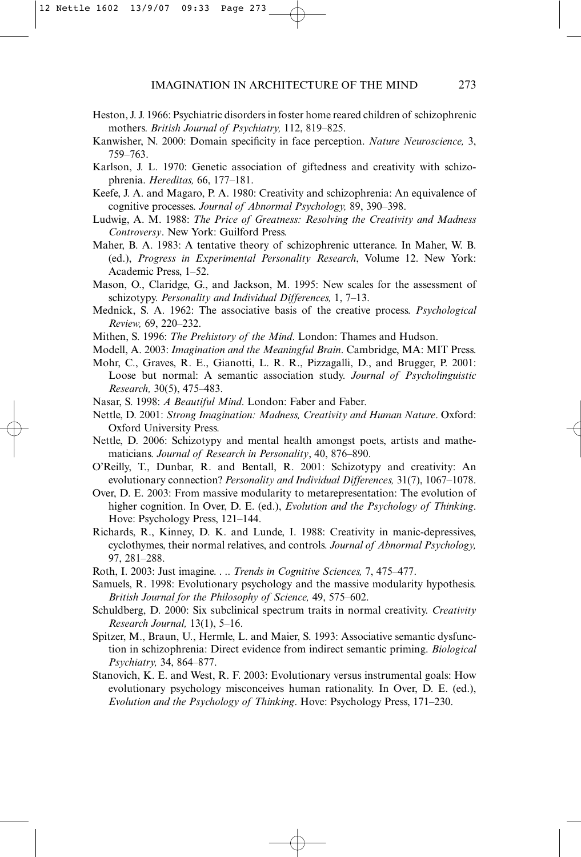- Heston, J. J. 1966: Psychiatric disorders in foster home reared children of schizophrenic mothers. *British Journal of Psychiatry,* 112, 819–825.
- Kanwisher, N. 2000: Domain specificity in face perception. *Nature Neuroscience,* 3, 759–763.
- Karlson, J. L. 1970: Genetic association of giftedness and creativity with schizophrenia. *Hereditas,* 66, 177–181.
- Keefe, J. A. and Magaro, P. A. 1980: Creativity and schizophrenia: An equivalence of cognitive processes. *Journal of Abnormal Psychology,* 89, 390–398.
- Ludwig, A. M. 1988: *The Price of Greatness: Resolving the Creativity and Madness Controversy*. New York: Guilford Press.
- Maher, B. A. 1983: A tentative theory of schizophrenic utterance. In Maher, W. B. (ed.), *Progress in Experimental Personality Research*, Volume 12. New York: Academic Press, 1–52.
- Mason, O., Claridge, G., and Jackson, M. 1995: New scales for the assessment of schizotypy. *Personality and Individual Differences,* 1, 7–13.
- Mednick, S. A. 1962: The associative basis of the creative process. *Psychological Review,* 69, 220–232.
- Mithen, S. 1996: *The Prehistory of the Mind*. London: Thames and Hudson.
- Modell, A. 2003: *Imagination and the Meaningful Brain*. Cambridge, MA: MIT Press.
- Mohr, C., Graves, R. E., Gianotti, L. R. R., Pizzagalli, D., and Brugger, P. 2001: Loose but normal: A semantic association study. *Journal of Psycholinguistic Research,* 30(5), 475–483.
- Nasar, S. 1998: *A Beautiful Mind*. London: Faber and Faber.
- Nettle, D. 2001: *Strong Imagination: Madness, Creativity and Human Nature*. Oxford: Oxford University Press.
- Nettle, D. 2006: Schizotypy and mental health amongst poets, artists and mathematicians. *Journal of Research in Personality*, 40, 876–890.
- O'Reilly, T., Dunbar, R. and Bentall, R. 2001: Schizotypy and creativity: An evolutionary connection? *Personality and Individual Differences,* 31(7), 1067–1078.
- Over, D. E. 2003: From massive modularity to metarepresentation: The evolution of higher cognition. In Over, D. E. (ed.), *Evolution and the Psychology of Thinking*. Hove: Psychology Press, 121–144.
- Richards, R., Kinney, D. K. and Lunde, I. 1988: Creativity in manic-depressives, cyclothymes, their normal relatives, and controls. *Journal of Abnormal Psychology,* 97, 281–288.
- Roth, I. 2003: Just imagine. . .. *Trends in Cognitive Sciences,* 7, 475–477.
- Samuels, R. 1998: Evolutionary psychology and the massive modularity hypothesis. *British Journal for the Philosophy of Science,* 49, 575–602.
- Schuldberg, D. 2000: Six subclinical spectrum traits in normal creativity. *Creativity Research Journal,* 13(1), 5–16.
- Spitzer, M., Braun, U., Hermle, L. and Maier, S. 1993: Associative semantic dysfunction in schizophrenia: Direct evidence from indirect semantic priming. *Biological Psychiatry,* 34, 864–877.
- Stanovich, K. E. and West, R. F. 2003: Evolutionary versus instrumental goals: How evolutionary psychology misconceives human rationality. In Over, D. E. (ed.), *Evolution and the Psychology of Thinking*. Hove: Psychology Press, 171–230.